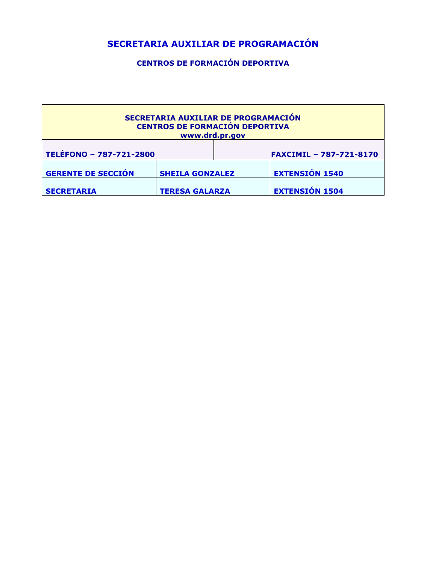# **SECRETARIA AUXILIAR DE PROGRAMACIÓN**

**CENTROS DE FORMACIÓN DEPORTIVA**

| SECRETARIA AUXILIAR DE PROGRAMACIÓN<br><b>CENTROS DE FORMACIÓN DEPORTIVA</b><br>www.drd.pr.gov |                        |  |                                |  |
|------------------------------------------------------------------------------------------------|------------------------|--|--------------------------------|--|
| TELÉFONO - 787-721-2800                                                                        |                        |  | <b>FAXCIMIL - 787-721-8170</b> |  |
| <b>GERENTE DE SECCIÓN</b>                                                                      | <b>SHEILA GONZALEZ</b> |  | <b>EXTENSIÓN 1540</b>          |  |
| <b>SECRETARIA</b>                                                                              | <b>TERESA GALARZA</b>  |  | <b>EXTENSIÓN 1504</b>          |  |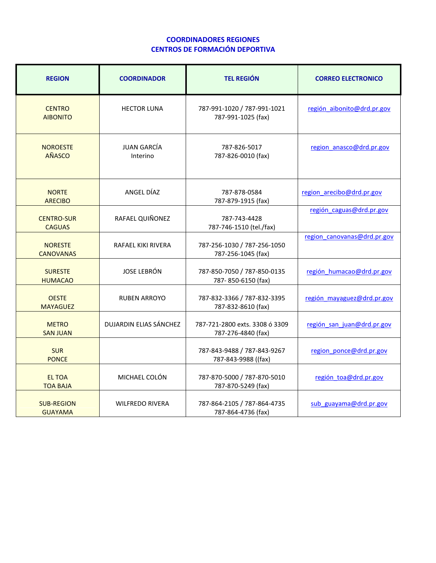#### **COORDINADORES REGIONES CENTROS DE FORMACIÓN DEPORTIVA**

| <b>REGION</b>                       | <b>COORDINADOR</b>             | <b>TEL REGIÓN</b>                                    | <b>CORREO ELECTRONICO</b>   |
|-------------------------------------|--------------------------------|------------------------------------------------------|-----------------------------|
| <b>CENTRO</b><br><b>AIBONITO</b>    | <b>HECTOR LUNA</b>             | 787-991-1020 / 787-991-1021<br>787-991-1025 (fax)    | región aibonito@drd.pr.gov  |
| <b>NOROESTE</b><br>AÑASCO           | <b>JUAN GARCÍA</b><br>Interino | 787-826-5017<br>787-826-0010 (fax)                   | region anasco@drd.pr.gov    |
| <b>NORTE</b><br><b>ARECIBO</b>      | ANGEL DÍAZ                     | 787-878-0584<br>787-879-1915 (fax)                   | region arecibo@drd.pr.gov   |
| <b>CENTRO-SUR</b><br><b>CAGUAS</b>  | RAFAEL QUIÑONEZ                | 787-743-4428<br>787-746-1510 (tel./fax)              | región caguas@drd.pr.gov    |
| <b>NORESTE</b><br><b>CANOVANAS</b>  | RAFAEL KIKI RIVERA             | 787-256-1030 / 787-256-1050<br>787-256-1045 (fax)    | region canovanas@drd.pr.gov |
| <b>SURESTE</b><br><b>HUMACAO</b>    | <b>JOSE LEBRÓN</b>             | 787-850-7050 / 787-850-0135<br>787-850-6150 (fax)    | región humacao@drd.pr.gov   |
| <b>OESTE</b><br><b>MAYAGUEZ</b>     | <b>RUBEN ARROYO</b>            | 787-832-3366 / 787-832-3395<br>787-832-8610 (fax)    | región mayaguez@drd.pr.gov  |
| <b>METRO</b><br><b>SAN JUAN</b>     | <b>DUJARDIN ELIAS SÁNCHEZ</b>  | 787-721-2800 exts. 3308 ó 3309<br>787-276-4840 (fax) | región san juan@drd.pr.gov  |
| <b>SUR</b><br><b>PONCE</b>          |                                | 787-843-9488 / 787-843-9267<br>787-843-9988 ((fax)   | region ponce@drd.pr.gov     |
| <b>EL TOA</b><br><b>TOA BAJA</b>    | MICHAEL COLÓN                  | 787-870-5000 / 787-870-5010<br>787-870-5249 (fax)    | región toa@drd.pr.gov       |
| <b>SUB-REGION</b><br><b>GUAYAMA</b> | <b>WILFREDO RIVERA</b>         | 787-864-2105 / 787-864-4735<br>787-864-4736 (fax)    | sub guayama@drd.pr.gov      |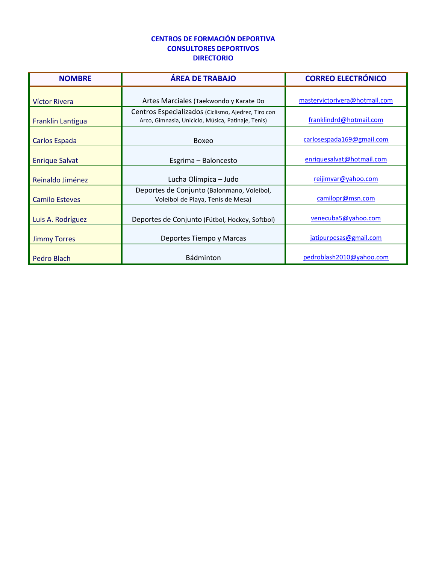# **CENTROS DE FORMACIÓN DEPORTIVA CONSULTORES DEPORTIVOS DIRECTORIO**

| <b>NOMBRE</b>         | <b>ÁREA DE TRABAJO</b>                                                                                    | <b>CORREO ELECTRÓNICO</b>     |
|-----------------------|-----------------------------------------------------------------------------------------------------------|-------------------------------|
| Víctor Rivera         | Artes Marciales (Taekwondo y Karate Do                                                                    | mastervictorivera@hotmail.com |
| Franklin Lantigua     | Centros Especializados (Ciclismo, Ajedrez, Tiro con<br>Arco, Gimnasia, Uniciclo, Música, Patinaje, Tenis) | franklindrd@hotmail.com       |
| Carlos Espada         | Boxeo                                                                                                     | carlosespada169@gmail.com     |
| <b>Enrique Salvat</b> | Esgrima - Baloncesto                                                                                      | enriquesalvat@hotmail.com     |
| Reinaldo Jiménez      | Lucha Olímpica - Judo                                                                                     | reijimvar@yahoo.com           |
| <b>Camilo Esteves</b> | Deportes de Conjunto (Balonmano, Voleibol,<br>Voleibol de Playa, Tenis de Mesa)                           | camilopr@msn.com              |
| Luis A. Rodríguez     | Deportes de Conjunto (Fútbol, Hockey, Softbol)                                                            | venecuba5@yahoo.com           |
| <b>Jimmy Torres</b>   | Deportes Tiempo y Marcas                                                                                  | jatipurpesas@gmail.com        |
| <b>Pedro Blach</b>    | Bádminton                                                                                                 | pedroblash2010@yahoo.com      |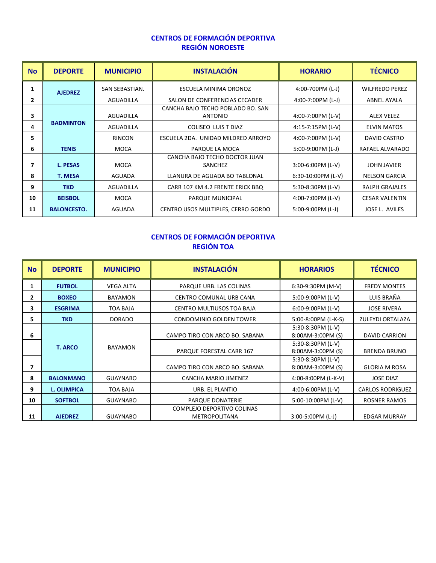# **CENTROS DE FORMACIÓN DEPORTIVA REGIÓN NOROESTE**

| <b>No</b> | <b>DEPORTE</b>     | <b>MUNICIPIO</b> | <b>INSTALACIÓN</b>                                  | <b>HORARIO</b>      | <b>TÉCNICO</b>        |
|-----------|--------------------|------------------|-----------------------------------------------------|---------------------|-----------------------|
| 1         | <b>AJEDREZ</b>     | SAN SEBASTIAN.   | ESCUELA MINIMA ORONOZ                               | 4:00-700PM (L-J)    | <b>WILFREDO PEREZ</b> |
| 2         |                    | <b>AGUADILLA</b> | SALON DE CONFERENCIAS CECADER                       | 4:00-7:00PM $(L-J)$ | <b>ABNEL AYALA</b>    |
| 3         |                    | <b>AGUADILLA</b> | CANCHA BAJO TECHO POBLADO BO. SAN<br><b>ANTONIO</b> | 4:00-7:00PM (L-V)   | <b>ALEX VELEZ</b>     |
| 4         | <b>BADMINTON</b>   | <b>AGUADILLA</b> | COLISEO LUIS T DIAZ                                 | 4:15-7:15PM (L-V)   | <b>ELVIN MATOS</b>    |
| 5         |                    | <b>RINCON</b>    | ESCUELA 2DA. UNIDAD MILDRED ARROYO                  | 4:00-7:00PM (L-V)   | DAVID CASTRO          |
| 6         | <b>TENIS</b>       | <b>MOCA</b>      | PARQUE LA MOCA                                      | $5:00-9:00PM$ (L-J) | RAFAEL ALVARADO       |
| 7         | <b>L. PESAS</b>    | <b>MOCA</b>      | CANCHA BAJO TECHO DOCTOR JUAN<br>SANCHEZ            | $3:00-6:00PM$ (L-V) | <b>JOHN JAVIER</b>    |
| 8         | <b>T. MESA</b>     | <b>AGUADA</b>    | LLANURA DE AGUADA BO TABLONAL                       | 6:30-10:00PM (L-V)  | <b>NELSON GARCIA</b>  |
| 9         | <b>TKD</b>         | AGUADILLA        | CARR 107 KM 4.2 FRENTE ERICK BBQ                    | 5:30-8:30PM (L-V)   | <b>RALPH GRAJALES</b> |
| 10        | <b>BEISBOL</b>     | <b>MOCA</b>      | PARQUE MUNICIPAL                                    | 4:00-7:00PM (L-V)   | <b>CESAR VALENTIN</b> |
| 11        | <b>BALONCESTO.</b> | AGUADA           | CENTRO USOS MULTIPLES, CERRO GORDO                  | $5:00-9:00PM$ (L-J) | JOSE L. AVILES        |

# **CENTROS DE FORMACIÓN DEPORTIVA REGIÓN TOA**

| <b>No</b>    | <b>DEPORTE</b>     | <b>MUNICIPIO</b> | <b>INSTALACIÓN</b>                                 | <b>HORARIOS</b>                        | <b>TÉCNICO</b>          |
|--------------|--------------------|------------------|----------------------------------------------------|----------------------------------------|-------------------------|
| 1            | <b>FUTBOL</b>      | <b>VEGA ALTA</b> | PARQUE URB. LAS COLINAS                            | 6:30-9:30PM (M-V)                      | <b>FREDY MONTES</b>     |
| $\mathbf{2}$ | <b>BOXEO</b>       | <b>BAYAMON</b>   | CENTRO COMUNAL URB CANA                            | 5:00-9:00PM (L-V)                      | LUIS BRAÑA              |
| з            | <b>ESGRIMA</b>     | TOA BAJA         | CENTRO MULTIUSOS TOA BAJA                          | $6:00-9:00$ PM (L-V)                   | <b>JOSE RIVERA</b>      |
| 5.           | <b>TKD</b>         | <b>DORADO</b>    | CONDOMINIO GOLDEN TOWER                            | 5:00-8:00PM (L-K-S)                    | ZULEYDI ORTALAZA        |
| 6            |                    |                  | CAMPO TIRO CON ARCO BO. SABANA                     | 5:30-8:30PM (L-V)<br>8:00AM-3:00PM (S) | <b>DAVID CARRION</b>    |
|              | <b>T. ARCO</b>     | <b>BAYAMON</b>   | PARQUE FORESTAL CARR 167                           | 5:30-8:30PM (L-V)<br>8:00AM-3:00PM (S) | <b>BRENDA BRUNO</b>     |
|              |                    |                  | CAMPO TIRO CON ARCO BO. SABANA                     | 5:30-8:30PM (L-V)<br>8:00AM-3:00PM (S) | <b>GLORIA M ROSA</b>    |
| 8            | <b>BALONMANO</b>   | <b>GUAYNABO</b>  | CANCHA MARIO JIMENEZ                               | 4:00-8:00PM (L-K-V)                    | <b>JOSE DIAZ</b>        |
| 9            | <b>L. OLIMPICA</b> | <b>TOA BAJA</b>  | URB. EL PLANTIO                                    | 4:00-6:00PM (L-V)                      | <b>CARLOS RODRIGUEZ</b> |
| 10           | <b>SOFTBOL</b>     | <b>GUAYNABO</b>  | PARQUE DONATERIE                                   | 5:00-10:00PM (L-V)                     | <b>ROSNER RAMOS</b>     |
| 11           | <b>AJEDREZ</b>     | <b>GUAYNABO</b>  | COMPLEJO DEPORTIVO COLINAS<br><b>METROPOLITANA</b> | $3:00-5:00PM$ (L-J)                    | <b>EDGAR MURRAY</b>     |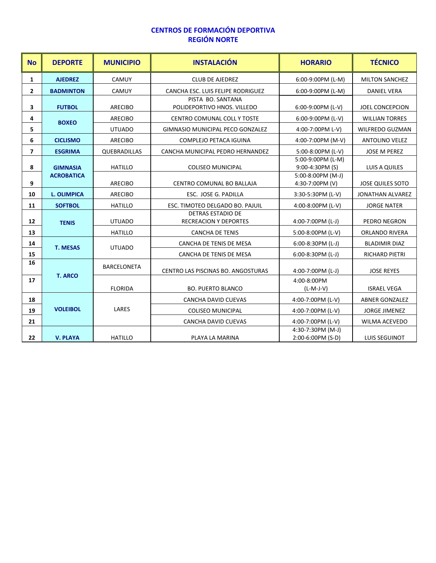### **CENTROS DE FORMACIÓN DEPORTIVA REGIÓN NORTE**

| <b>No</b>    | <b>DEPORTE</b>     | <b>MUNICIPIO</b>    | <b>INSTALACIÓN</b>                                       | <b>HORARIO</b>                         | <b>TÉCNICO</b>          |
|--------------|--------------------|---------------------|----------------------------------------------------------|----------------------------------------|-------------------------|
| $\mathbf{1}$ | <b>AJEDREZ</b>     | CAMUY               | <b>CLUB DE AJEDREZ</b>                                   | 6:00-9:00PM (L-M)                      | <b>MILTON SANCHEZ</b>   |
| $\mathbf{2}$ | <b>BADMINTON</b>   | CAMUY               | CANCHA ESC. LUIS FELIPE RODRIGUEZ                        | 6:00-9:00PM (L-M)                      | <b>DANIEL VERA</b>      |
| 3            | <b>FUTBOL</b>      | <b>ARECIBO</b>      | PISTA BO. SANTANA<br>POLIDEPORTIVO HNOS, VILLEDO         | 6:00-9:00PM (L-V)                      | JOEL CONCEPCION         |
| 4            | <b>BOXEO</b>       | <b>ARECIBO</b>      | <b>CENTRO COMUNAL COLL Y TOSTE</b>                       | 6:00-9:00PM (L-V)                      | <b>WILLIAN TORRES</b>   |
| 5            |                    | <b>UTUADO</b>       | GIMNASIO MUNICIPAL PECO GONZALEZ                         | 4:00-7:00PM L-V)                       | <b>WILFREDO GUZMAN</b>  |
| 6            | <b>CICLISMO</b>    | <b>ARECIBO</b>      | <b>COMPLEJO PETACA IGUINA</b>                            | 4:00-7:00PM (M-V)                      | <b>ANTOLINO VELEZ</b>   |
| 7            | <b>ESGRIMA</b>     | <b>QUEBRADILLAS</b> | CANCHA MUNICIPAL PEDRO HERNANDEZ                         | 5:00-8:00PM (L-V)                      | <b>JOSE M PEREZ</b>     |
| 8            | <b>GIMNASIA</b>    | <b>HATILLO</b>      | <b>COLISEO MUNICIPAL</b>                                 | 5:00-9:00PM (L-M)<br>9:00-4:30PM (S)   | <b>LUIS A QUILES</b>    |
| 9            | <b>ACROBATICA</b>  | <b>ARECIBO</b>      | CENTRO COMUNAL BO BALLAJA                                | 5:00-8:00PM (M-J)<br>4:30-7:00PM (V)   | <b>JOSE QUILES SOTO</b> |
| 10           | <b>L. OLIMPICA</b> | <b>ARECIBO</b>      | ESC. JOSE G. PADILLA                                     | 3:30-5:30PM (L-V)                      | <b>JONATHAN ALVAREZ</b> |
| 11           | <b>SOFTBOL</b>     | <b>HATILLO</b>      | ESC. TIMOTEO DELGADO BO. PAJUIL                          | 4:00-8:00PM (L-V)                      | <b>JORGE NATER</b>      |
| 12           | <b>TENIS</b>       | <b>UTUADO</b>       | <b>DETRAS ESTADIO DE</b><br><b>RECREACION Y DEPORTES</b> | 4:00-7:00PM (L-J)                      | PEDRO NEGRON            |
| 13           |                    | <b>HATILLO</b>      | <b>CANCHA DE TENIS</b>                                   | 5:00-8:00PM (L-V)                      | <b>ORLANDO RIVERA</b>   |
| 14           | <b>T. MESAS</b>    | <b>UTUADO</b>       | CANCHA DE TENIS DE MESA                                  | $6:00-8:30PM$ (L-J)                    | <b>BLADIMIR DIAZ</b>    |
| 15           |                    |                     | CANCHA DE TENIS DE MESA                                  | $6:00-8:30PM$ (L-J)                    | <b>RICHARD PIETRI</b>   |
| 16           |                    | <b>BARCELONETA</b>  | CENTRO LAS PISCINAS BO. ANGOSTURAS                       | 4:00-7:00PM (L-J)                      | <b>JOSE REYES</b>       |
| 17           | <b>T. ARCO</b>     | <b>FLORIDA</b>      | <b>BO. PUERTO BLANCO</b>                                 | 4:00-8:00PM<br>$(L-M-J-V)$             | <b>ISRAEL VEGA</b>      |
| 18           |                    |                     | <b>CANCHA DAVID CUEVAS</b>                               | 4:00-7:00PM (L-V)                      | <b>ABNER GONZALEZ</b>   |
| 19           | <b>VOLEIBOL</b>    | LARES               | <b>COLISEO MUNICIPAL</b>                                 | 4:00-7:00PM (L-V)                      | <b>JORGE JIMENEZ</b>    |
| 21           |                    |                     | CANCHA DAVID CUEVAS                                      | 4:00-7:00PM (L-V)                      | <b>WILMA ACEVEDO</b>    |
| 22           | <b>V. PLAYA</b>    | <b>HATILLO</b>      | PLAYA LA MARINA                                          | 4:30-7:30PM (M-J)<br>2:00-6:00PM (S-D) | <b>LUIS SEGUINOT</b>    |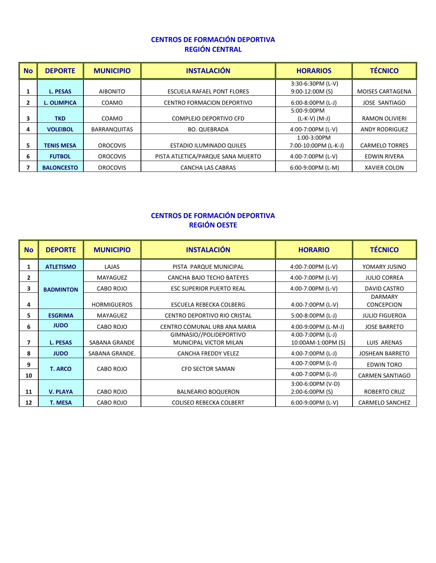#### **CENTROS DE FORMACIÓN DEPORTIVA REGIÓN CENTRAL**

| <b>No</b> | <b>DEPORTE</b>     | <b>MUNICIPIO</b>    | <b>INSTALACIÓN</b>                | <b>HORARIOS</b>                       | <b>TÉCNICO</b>          |
|-----------|--------------------|---------------------|-----------------------------------|---------------------------------------|-------------------------|
|           | <b>L. PESAS</b>    | <b>AIBONITO</b>     | ESCUELA RAFAEL PONT FLORES        | 3:30-6:30PM (L-V)<br>$9:00-12:00M(S)$ | <b>MOISES CARTAGENA</b> |
|           | <b>L. OLIMPICA</b> | COAMO               | <b>CENTRO FORMACION DEPORTIVO</b> | $6:00-8:00PM$ (L-J)                   | <b>JOSE SANTIAGO</b>    |
| 3         | <b>TKD</b>         | COAMO               | COMPLEJO DEPORTIVO CFD            | $5:00-9:00PM$<br>$(L-K-V)$ (M-J)      | RAMON OLIVIERI          |
| 4         | <b>VOLEIBOL</b>    | <b>BARRANQUITAS</b> | <b>BO. QUEBRADA</b>               | 4:00-7:00PM (L-V)                     | <b>ANDY RODRIGUEZ</b>   |
| 5.        | <b>TENIS MESA</b>  | <b>OROCOVIS</b>     | ESTADIO ILUMINADO QUILES          | 1:00-3:00PM<br>7:00-10:00PM (L-K-J)   | <b>CARMELO TORRES</b>   |
| 6         | <b>FUTBOL</b>      | <b>OROCOVIS</b>     | PISTA ATLETICA/PARQUE SANA MUERTO | 4:00-7:00PM (L-V)                     | EDWIN RIVERA            |
|           | <b>BALONCESTO</b>  | <b>OROCOVIS</b>     | <b>CANCHA LAS CABRAS</b>          | $6:00-9:00PM$ (L-M)                   | <b>XAVIER COLON</b>     |

#### **CENTROS DE FORMACIÓN DEPORTIVA REGIÓN OESTE**

| <b>No</b> | <b>DEPORTE</b>   | <b>MUNICIPIO</b>     | <b>INSTALACIÓN</b>                                       | <b>HORARIO</b>                            | <b>TÉCNICO</b>                      |
|-----------|------------------|----------------------|----------------------------------------------------------|-------------------------------------------|-------------------------------------|
| 1         | <b>ATLETISMO</b> | LAJAS                | PISTA PARQUE MUNICIPAL                                   | 4:00-7:00PM (L-V)                         | YOMARY JUSINO                       |
| 2         |                  | MAYAGUEZ             | CANCHA BAJO TECHO BATEYES                                | 4:00-7:00PM (L-V)                         | <b>JULIO CORREA</b>                 |
| 3         | <b>BADMINTON</b> | CABO ROJO            | <b>ESC SUPERIOR PUERTO REAL</b>                          | 4:00-7:00PM (L-V)                         | DAVID CASTRO                        |
| 4         |                  | <b>HORMIGUEROS</b>   | ESCUELA REBECKA COLBERG                                  | 4:00-7:00PM (L-V)                         | <b>DARMARY</b><br><b>CONCEPCION</b> |
| 5.        | <b>ESGRIMA</b>   | MAYAGUEZ             | CENTRO DEPORTIVO RIO CRISTAL                             | $5:00-8:00PM$ (L-J)                       | <b>JULIO FIGUEROA</b>               |
| 6         | <b>JUDO</b>      | CABO ROJO            | CENTRO COMUNAL URB ANA MARIA                             | 4:00-9:00PM (L-M-J)                       | <b>JOSE BARRETO</b>                 |
| 7         | <b>L. PESAS</b>  | <b>SABANA GRANDE</b> | GIMNASIO//POLIDEPORTIVO<br><b>MUNICIPAL VICTOR MILAN</b> | 4:00-7:00PM $(L-J)$<br>10:00AM-1:00PM (S) | <b>LUIS ARENAS</b>                  |
| 8         | <b>JUDO</b>      | SABANA GRANDE.       | <b>CANCHA FREDDY VELEZ</b>                               | 4:00-7:00PM (L-J)                         | <b>JOSHEAN BARRETO</b>              |
| 9         | <b>T. ARCO</b>   | CABO ROJO            | <b>CFD SECTOR SAMAN</b>                                  | 4:00-7:00PM (L-J)                         | <b>EDWIN TORO</b>                   |
| 10        |                  |                      |                                                          | 4:00-7:00PM (L-J)                         | <b>CARMEN SANTIAGO</b>              |
| 11        | <b>V. PLAYA</b>  | CABO ROJO            | <b>BALNEARIO BOQUERON</b>                                | 3:00-6:00PM (V-D)<br>2:00-6:00PM (S)      | <b>ROBERTO CRUZ</b>                 |
| 12        | <b>T. MESA</b>   | CABO ROJO            | <b>COLISEO REBECKA COLBERT</b>                           | 6:00-9:00PM (L-V)                         | <b>CARMELO SANCHEZ</b>              |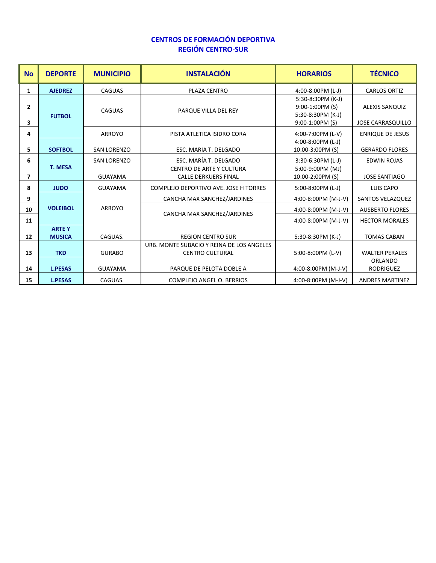#### **CENTROS DE FORMACIÓN DEPORTIVA REGIÓN CENTRO-SUR**

| <b>No</b>    | <b>DEPORTE</b>                | <b>MUNICIPIO</b>   | <b>INSTALACIÓN</b>                                                  | <b>HORARIOS</b>                       | <b>TÉCNICO</b>                     |
|--------------|-------------------------------|--------------------|---------------------------------------------------------------------|---------------------------------------|------------------------------------|
| 1            | <b>AJEDREZ</b>                | <b>CAGUAS</b>      | PLAZA CENTRO                                                        | 4:00-8:00PM (L-J)                     | <b>CARLOS ORTIZ</b>                |
| $\mathbf{2}$ |                               | <b>CAGUAS</b>      | PARQUE VILLA DEL REY                                                | 5:30-8:30PM (K-J)<br>9:00-1:00PM (S)  | <b>ALEXIS SANQUIZ</b>              |
| 3            | <b>FUTBOL</b>                 |                    |                                                                     | 5:30-8:30PM (K-J)<br>9:00-1:00PM (S)  | <b>JOSE CARRASQUILLO</b>           |
| 4            |                               | <b>ARROYO</b>      | PISTA ATLETICA ISIDRO CORA                                          | 4:00-7:00PM (L-V)                     | <b>ENRIQUE DE JESUS</b>            |
| 5.           | <b>SOFTBOL</b>                | <b>SAN LORENZO</b> | ESC. MARIA T. DELGADO                                               | 4:00-8:00PM (L-J)<br>10:00-3:00PM (S) | <b>GERARDO FLORES</b>              |
| 6            |                               | <b>SAN LORENZO</b> | ESC. MARÍA T. DELGADO                                               | 3:30-6:30PM (L-J)                     | <b>EDWIN ROJAS</b>                 |
| 7            | <b>T. MESA</b>                | <b>GUAYAMA</b>     | <b>CENTRO DE ARTE Y CULTURA</b><br><b>CALLE DERKUERS FINAL</b>      | 5:00-9:00PM (MJ)<br>10:00-2:00PM (S)  | <b>JOSE SANTIAGO</b>               |
| 8            | <b>JUDO</b>                   | <b>GUAYAMA</b>     | COMPLEJO DEPORTIVO AVE. JOSE H TORRES                               | 5:00-8:00PM (L-J)                     | LUIS CAPO                          |
| 9            |                               |                    | CANCHA MAX SANCHEZ/JARDINES                                         | 4:00-8:00PM (M-J-V)                   | SANTOS VELAZQUEZ                   |
| 10           | <b>VOLEIBOL</b>               | ARROYO             | CANCHA MAX SANCHEZ/JARDINES                                         | 4:00-8:00PM (M-J-V)                   | <b>AUSBERTO FLORES</b>             |
| 11           |                               |                    |                                                                     | 4:00-8:00PM (M-J-V)                   | <b>HECTOR MORALES</b>              |
| 12           | <b>ARTEY</b><br><b>MUSICA</b> | CAGUAS.            | <b>REGION CENTRO SUR</b>                                            | 5:30-8:30PM (K-J)                     | <b>TOMAS CABAN</b>                 |
| 13           | <b>TKD</b>                    | <b>GURABO</b>      | URB. MONTE SUBACIO Y REINA DE LOS ANGELES<br><b>CENTRO CULTURAL</b> | 5:00-8:00PM (L-V)                     | <b>WALTER PERALES</b>              |
| 14           | <b>L.PESAS</b>                | <b>GUAYAMA</b>     | PARQUE DE PELOTA DOBLE A                                            | 4:00-8:00PM (M-J-V)                   | <b>ORLANDO</b><br><b>RODRIGUEZ</b> |
| 15           | <b>L.PESAS</b>                | CAGUAS.            | COMPLEJO ANGEL O. BERRIOS                                           | 4:00-8:00PM (M-J-V)                   | <b>ANDRES MARTINEZ</b>             |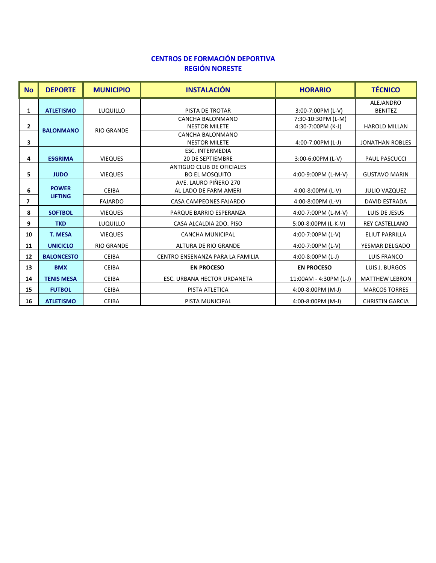# **CENTROS DE FORMACIÓN DEPORTIVA REGIÓN NORESTE**

| <b>No</b> | <b>DEPORTE</b>    | <b>MUNICIPIO</b>  | <b>INSTALACIÓN</b>               | <b>HORARIO</b>                          | <b>TÉCNICO</b>                     |
|-----------|-------------------|-------------------|----------------------------------|-----------------------------------------|------------------------------------|
|           | <b>ATLETISMO</b>  | LUQUILLO          | PISTA DE TROTAR                  |                                         | <b>ALEJANDRO</b><br><b>BENITEZ</b> |
| 1         |                   |                   | CANCHA BALONMANO                 | 3:00-7:00PM (L-V)                       |                                    |
| 2         |                   |                   | <b>NESTOR MILETE</b>             | 7:30-10:30PM (L-M)<br>4:30-7:00PM (K-J) | HAROLD MILLAN                      |
|           | <b>BALONMANO</b>  | <b>RIO GRANDE</b> | CANCHA BALONMANO                 |                                         |                                    |
| 3         |                   |                   | <b>NESTOR MILETE</b>             | 4:00-7:00PM (L-J)                       | <b>JONATHAN ROBLES</b>             |
|           |                   |                   | <b>ESC. INTERMEDIA</b>           |                                         |                                    |
| 4         | <b>ESGRIMA</b>    | <b>VIEQUES</b>    | <b>20 DE SEPTIEMBRE</b>          | 3:00-6:00PM (L-V)                       | <b>PAUL PASCUCCI</b>               |
|           |                   |                   | ANTIGUO CLUB DE OFICIALES        |                                         |                                    |
| 5.        | <b>JUDO</b>       | <b>VIEQUES</b>    | <b>BO EL MOSQUITO</b>            | 4:00-9:00PM (L-M-V)                     | <b>GUSTAVO MARIN</b>               |
|           |                   |                   | AVE. LAURO PIÑERO 270            |                                         |                                    |
| 6         | <b>POWER</b>      | <b>CEIBA</b>      | AL LADO DE FARM AMERI            | 4:00-8:00PM (L-V)                       | <b>JULIO VAZQUEZ</b>               |
| 7         | <b>LIFTING</b>    | <b>FAJARDO</b>    | CASA CAMPEONES FAJARDO           | 4:00-8:00PM (L-V)                       | <b>DAVID ESTRADA</b>               |
| 8         | <b>SOFTBOL</b>    | <b>VIEQUES</b>    | PARQUE BARRIO ESPERANZA          | 4:00-7:00PM (L-M-V)                     | LUIS DE JESUS                      |
| 9         | <b>TKD</b>        | <b>LUQUILLO</b>   | CASA ALCALDIA 2DO. PISO          | 5:00-8:00PM (L-K-V)                     | <b>REY CASTELLANO</b>              |
| 10        | <b>T. MESA</b>    | <b>VIEQUES</b>    | <b>CANCHA MUNICIPAL</b>          | 4:00-7:00PM (L-V)                       | <b>ELIUT PARRILLA</b>              |
| 11        | <b>UNICICLO</b>   | <b>RIO GRANDE</b> | ALTURA DE RIO GRANDE             | 4:00-7:00PM (L-V)                       | YESMAR DELGADO                     |
| 12        | <b>BALONCESTO</b> | <b>CEIBA</b>      | CENTRO ENSENANZA PARA LA FAMILIA | 4:00-8:00PM (L-J)                       | <b>LUIS FRANCO</b>                 |
| 13        | <b>BMX</b>        | <b>CEIBA</b>      | <b>EN PROCESO</b>                | <b>EN PROCESO</b>                       | LUIS J. BURGOS                     |
| 14        | <b>TENIS MESA</b> | <b>CEIBA</b>      | ESC. URBANA HECTOR URDANETA      | 11:00AM - 4:30PM (L-J)                  | <b>MATTHEW LEBRON</b>              |
| 15        | <b>FUTBOL</b>     | <b>CEIBA</b>      | PISTA ATLETICA                   | 4:00-8:00PM (M-J)                       | <b>MARCOS TORRES</b>               |
| 16        | <b>ATLETISMO</b>  | <b>CEIBA</b>      | PISTA MUNICIPAL                  | 4:00-8:00PM (M-J)                       | <b>CHRISTIN GARCIA</b>             |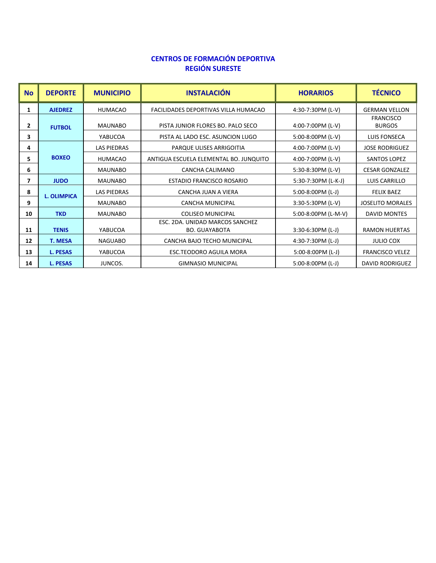## **CENTROS DE FORMACIÓN DEPORTIVA REGIÓN SURESTE**

| <b>No</b>    | <b>DEPORTE</b>     | <b>MUNICIPIO</b>   | <b>INSTALACIÓN</b>                                      | <b>HORARIOS</b>     | <b>TÉCNICO</b>                    |
|--------------|--------------------|--------------------|---------------------------------------------------------|---------------------|-----------------------------------|
| 1            | <b>AJEDREZ</b>     | <b>HUMACAO</b>     | FACILIDADES DEPORTIVAS VILLA HUMACAO                    | 4:30-7:30PM (L-V)   | <b>GERMAN VELLON</b>              |
| $\mathbf{2}$ | <b>FUTBOL</b>      | <b>MAUNABO</b>     | PISTA JUNIOR FLORES BO. PALO SECO                       | 4:00-7:00PM (L-V)   | <b>FRANCISCO</b><br><b>BURGOS</b> |
| 3            |                    | YABUCOA            | PISTA AL LADO ESC. ASUNCION LUGO                        | $5:00-8:00PM$ (L-V) | <b>LUIS FONSECA</b>               |
| 4            |                    | <b>LAS PIEDRAS</b> | PARQUE ULISES ARRIGOITIA                                | 4:00-7:00PM (L-V)   | <b>JOSE RODRIGUEZ</b>             |
| 5.           | <b>BOXEO</b>       | <b>HUMACAO</b>     | ANTIGUA ESCUELA ELEMENTAL BO. JUNQUITO                  | 4:00-7:00PM (L-V)   | <b>SANTOS LOPEZ</b>               |
| 6            |                    | <b>MAUNABO</b>     | CANCHA CALIMANO                                         | 5:30-8:30PM (L-V)   | <b>CESAR GONZALEZ</b>             |
| 7            | <b>JUDO</b>        | <b>MAUNABO</b>     | <b>ESTADIO FRANCISCO ROSARIO</b>                        | 5:30-7:30PM (L-K-J) | LUIS CARRILLO                     |
| 8            | <b>L. OLIMPICA</b> | <b>LAS PIEDRAS</b> | CANCHA JUAN A VIERA                                     | $5:00-8:00PM$ (L-J) | <b>FELIX BAEZ</b>                 |
| 9            |                    | <b>MAUNABO</b>     | <b>CANCHA MUNICIPAL</b>                                 | 3:30-5:30PM (L-V)   | <b>JOSELITO MORALES</b>           |
| 10           | <b>TKD</b>         | <b>MAUNABO</b>     | <b>COLISEO MUNICIPAL</b>                                | 5:00-8:00PM (L-M-V) | <b>DAVID MONTES</b>               |
| 11           | <b>TENIS</b>       | YABUCOA            | ESC. 2DA. UNIDAD MARCOS SANCHEZ<br><b>BO. GUAYABOTA</b> | $3:30-6:30PM$ (L-J) | <b>RAMON HUERTAS</b>              |
| 12           | <b>T. MESA</b>     | <b>NAGUABO</b>     | CANCHA BAJO TECHO MUNICIPAL                             | 4:30-7:30PM (L-J)   | <b>JULIO COX</b>                  |
| 13           | <b>L. PESAS</b>    | YABUCOA            | ESC.TEODORO AGUILA MORA                                 | 5:00-8:00PM (L-J)   | <b>FRANCISCO VELEZ</b>            |
| 14           | <b>L. PESAS</b>    | JUNCOS.            | <b>GIMNASIO MUNICIPAL</b>                               | $5:00-8:00PM$ (L-J) | <b>DAVID RODRIGUEZ</b>            |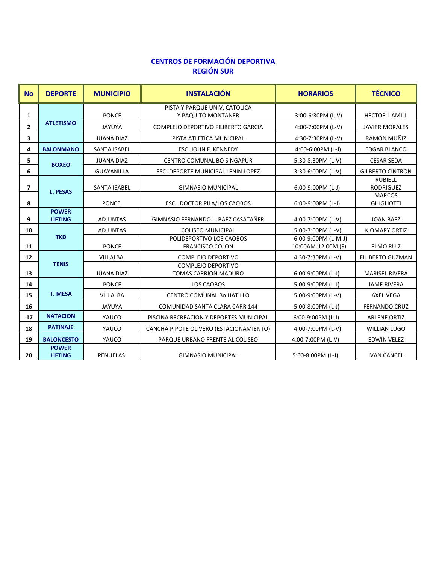# **CENTROS DE FORMACIÓN DEPORTIVA REGIÓN SUR**

| <b>No</b>               | <b>DEPORTE</b>                 | <b>MUNICIPIO</b>    | <b>INSTALACIÓN</b>                                       | <b>HORARIOS</b>                           | <b>TÉCNICO</b>                     |
|-------------------------|--------------------------------|---------------------|----------------------------------------------------------|-------------------------------------------|------------------------------------|
| 1                       |                                | <b>PONCE</b>        | PISTA Y PARQUE UNIV. CATOLICA<br>Y PAQUITO MONTANER      | 3:00-6:30PM (L-V)                         | <b>HECTOR L AMILL</b>              |
| $\overline{2}$          | <b>ATLETISMO</b>               | <b>JAYUYA</b>       | COMPLEJO DEPORTIVO FILIBERTO GARCIA                      | 4:00-7:00PM (L-V)                         | <b>JAVIER MORALES</b>              |
| 3                       |                                | <b>JUANA DIAZ</b>   | PISTA ATLETICA MUNICIPAL                                 | 4:30-7:30PM (L-V)                         | RAMON MUÑIZ                        |
| 4                       | <b>BALONMANO</b>               | <b>SANTA ISABEL</b> | ESC. JOHN F. KENNEDY                                     | 4:00-6:00PM (L-J)                         | <b>EDGAR BLANCO</b>                |
| 5                       | <b>BOXEO</b>                   | <b>JUANA DIAZ</b>   | CENTRO COMUNAL BO SINGAPUR                               | 5:30-8:30PM (L-V)                         | <b>CESAR SEDA</b>                  |
| 6                       |                                | <b>GUAYANILLA</b>   | ESC. DEPORTE MUNICIPAL LENIN LOPEZ                       | 3:30-6:00PM (L-V)                         | <b>GILBERTO CINTRON</b>            |
| $\overline{\mathbf{z}}$ | <b>L. PESAS</b>                | <b>SANTA ISABEL</b> | <b>GIMNASIO MUNICIPAL</b>                                | $6:00-9:00PM$ (L-J)                       | <b>RUBIELL</b><br><b>RODRIGUEZ</b> |
| 8                       |                                | PONCE.              | ESC. DOCTOR PILA/LOS CAOBOS                              | 6:00-9:00PM (L-J)                         | <b>MARCOS</b><br><b>GHIGLIOTTI</b> |
| 9                       | <b>POWER</b><br><b>LIFTING</b> | <b>ADJUNTAS</b>     | GIMNASIO FERNANDO L. BAEZ CASATAÑER                      | 4:00-7:00PM (L-V)                         | <b>JOAN BAEZ</b>                   |
| 10                      |                                | <b>ADJUNTAS</b>     | <b>COLISEO MUNICIPAL</b>                                 | 5:00-7:00PM (L-V)                         | <b>KIOMARY ORTIZ</b>               |
| 11                      | <b>TKD</b>                     | <b>PONCE</b>        | POLIDEPORTIVO LOS CAOBOS<br><b>FRANCISCO COLON</b>       | 6:00-9:00PM (L-M-J)<br>10:00AM-12:00M (S) | <b>ELMO RUIZ</b>                   |
| 12                      |                                | VILLALBA.           | <b>COMPLEJO DEPORTIVO</b>                                | 4:30-7:30PM (L-V)                         | <b>FILIBERTO GUZMAN</b>            |
| 13                      | <b>TENIS</b>                   | <b>JUANA DIAZ</b>   | <b>COMPLEJO DEPORTIVO</b><br><b>TOMAS CARRION MADURO</b> | 6:00-9:00PM (L-J)                         | <b>MARISEL RIVERA</b>              |
| 14                      |                                | <b>PONCE</b>        | LOS CAOBOS                                               | 5:00-9:00PM (L-J)                         | <b>JAME RIVERA</b>                 |
| 15                      | <b>T. MESA</b>                 | <b>VILLALBA</b>     | CENTRO COMUNAL Bo HATILLO                                | 5:00-9:00PM (L-V)                         | <b>AXEL VEGA</b>                   |
| 16                      |                                | JAYUYA              | COMUNIDAD SANTA CLARA CARR 144                           | 5:00-8:00PM (L-J)                         | <b>FERNANDO CRUZ</b>               |
| 17                      | <b>NATACION</b>                | YAUCO               | PISCINA RECREACION Y DEPORTES MUNICIPAL                  | $6:00-9:00PM$ (L-J)                       | <b>ARLENE ORTIZ</b>                |
| 18                      | <b>PATINAJE</b>                | YAUCO               | CANCHA PIPOTE OLIVERO (ESTACIONAMIENTO)                  | 4:00-7:00PM (L-V)                         | <b>WILLIAN LUGO</b>                |
| 19                      | <b>BALONCESTO</b>              | YAUCO               | PARQUE URBANO FRENTE AL COLISEO                          | 4:00-7:00PM (L-V)                         | <b>EDWIN VELEZ</b>                 |
| 20                      | <b>POWER</b><br><b>LIFTING</b> | PENUELAS.           | <b>GIMNASIO MUNICIPAL</b>                                | 5:00-8:00PM (L-J)                         | <b>IVAN CANCEL</b>                 |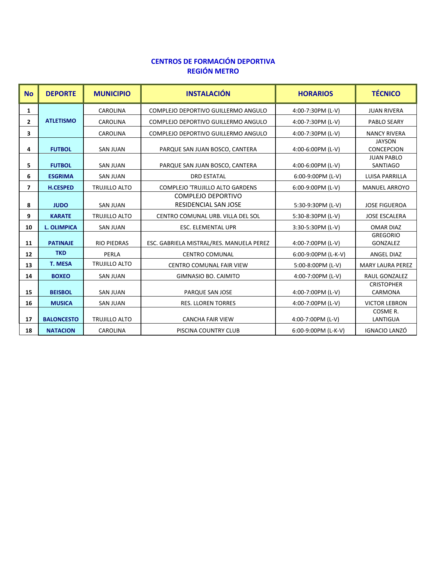## **CENTROS DE FORMACIÓN DEPORTIVA REGIÓN METRO**

| <b>No</b>    | <b>DEPORTE</b>     | <b>MUNICIPIO</b>     | <b>INSTALACIÓN</b>                                       | <b>HORARIOS</b>     | <b>TÉCNICO</b>                       |
|--------------|--------------------|----------------------|----------------------------------------------------------|---------------------|--------------------------------------|
| 1            |                    | CAROLINA             | COMPLEJO DEPORTIVO GUILLERMO ANGULO                      | 4:00-7:30PM (L-V)   | <b>JUAN RIVERA</b>                   |
| $\mathbf{2}$ | <b>ATLETISMO</b>   | <b>CAROLINA</b>      | COMPLEJO DEPORTIVO GUILLERMO ANGULO                      | 4:00-7:30PM (L-V)   | PABLO SEARY                          |
| 3            |                    | <b>CAROLINA</b>      | COMPLEJO DEPORTIVO GUILLERMO ANGULO                      | 4:00-7:30PM (L-V)   | <b>NANCY RIVERA</b>                  |
| 4            | <b>FUTBOL</b>      | <b>SAN JUAN</b>      | PARQUE SAN JUAN BOSCO, CANTERA                           | 4:00-6:00PM (L-V)   | <b>JAYSON</b><br><b>CONCEPCION</b>   |
| 5            | <b>FUTBOL</b>      | <b>SAN JUAN</b>      | PARQUE SAN JUAN BOSCO, CANTERA                           | 4:00-6:00PM (L-V)   | <b>JUAN PABLO</b><br><b>SANTIAGO</b> |
| 6            | <b>ESGRIMA</b>     | <b>SAN JUAN</b>      | <b>DRD ESTATAL</b>                                       | 6:00-9:00PM (L-V)   | LUISA PARRILLA                       |
| 7            | <b>H.CESPED</b>    | <b>TRUJILLO ALTO</b> | <b>COMPLEJO 'TRUJILLO ALTO GARDENS</b>                   | 6:00-9:00PM (L-V)   | <b>MANUEL ARROYO</b>                 |
| 8            | <b>JUDO</b>        | <b>SAN JUAN</b>      | <b>COMPLEJO DEPORTIVO</b><br><b>RESIDENCIAL SAN JOSE</b> | 5:30-9:30PM (L-V)   | <b>JOSE FIGUEROA</b>                 |
| 9            | <b>KARATE</b>      | <b>TRUJILLO ALTO</b> | CENTRO COMUNAL URB. VILLA DEL SOL                        | 5:30-8:30PM (L-V)   | <b>JOSE ESCALERA</b>                 |
| 10           | <b>L. OLIMPICA</b> | <b>SAN JUAN</b>      | <b>ESC. ELEMENTAL UPR</b>                                | 3:30-5:30PM (L-V)   | <b>OMAR DIAZ</b>                     |
| 11           | <b>PATINAJE</b>    | <b>RIO PIEDRAS</b>   | ESC. GABRIELA MISTRAL/RES. MANUELA PEREZ                 | 4:00-7:00PM (L-V)   | <b>GREGORIO</b><br>GONZALEZ          |
| 12           | <b>TKD</b>         | PERLA                | <b>CENTRO COMUNAL</b>                                    | 6:00-9:00PM (L-K-V) | <b>ANGEL DIAZ</b>                    |
| 13           | <b>T. MESA</b>     | TRUJILLO ALTO        | <b>CENTRO COMUNAL FAIR VIEW</b>                          | 5:00-8:00PM (L-V)   | <b>MARY LAURA PEREZ</b>              |
| 14           | <b>BOXEO</b>       | <b>SAN JUAN</b>      | GIMNASIO BO. CAIMITO                                     | 4:00-7:00PM (L-V)   | <b>RAUL GONZALEZ</b>                 |
| 15           | <b>BEISBOL</b>     | <b>SAN JUAN</b>      | PARQUE SAN JOSE                                          | 4:00-7:00PM (L-V)   | <b>CRISTOPHER</b><br>CARMONA         |
| 16           | <b>MUSICA</b>      | <b>SAN JUAN</b>      | <b>RES. LLOREN TORRES</b>                                | 4:00-7:00PM (L-V)   | <b>VICTOR LEBRON</b>                 |
| 17           | <b>BALONCESTO</b>  | <b>TRUJILLO ALTO</b> | <b>CANCHA FAIR VIEW</b>                                  | 4:00-7:00PM (L-V)   | COSME R.<br>LANTIGUA                 |
| 18           | <b>NATACION</b>    | CAROLINA             | PISCINA COUNTRY CLUB                                     | 6:00-9:00PM (L-K-V) | IGNACIO LANZÓ                        |